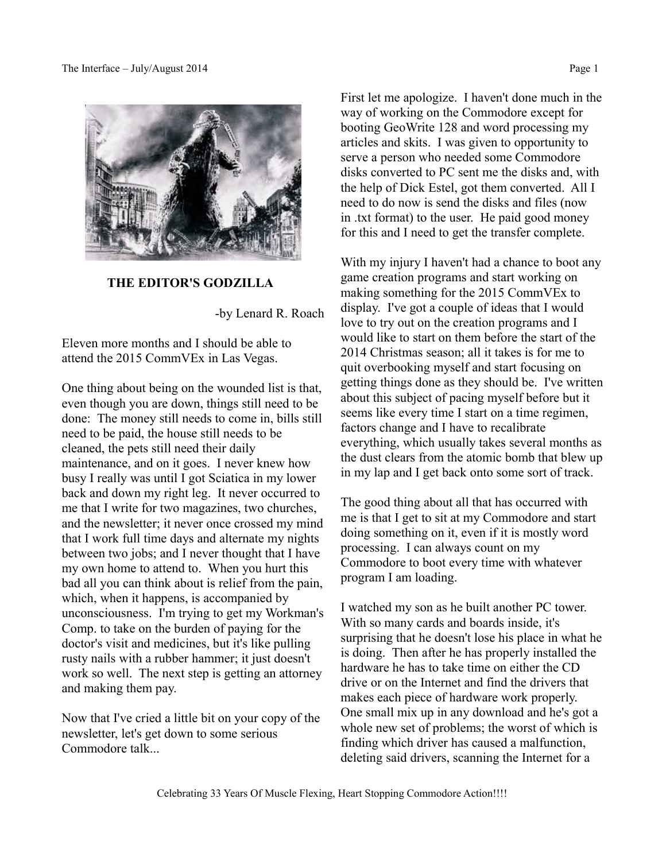

**THE EDITOR'S GODZILLA**

-by Lenard R. Roach

Eleven more months and I should be able to attend the 2015 CommVEx in Las Vegas.

One thing about being on the wounded list is that, even though you are down, things still need to be done: The money still needs to come in, bills still need to be paid, the house still needs to be cleaned, the pets still need their daily maintenance, and on it goes. I never knew how busy I really was until I got Sciatica in my lower back and down my right leg. It never occurred to me that I write for two magazines, two churches, and the newsletter; it never once crossed my mind that I work full time days and alternate my nights between two jobs; and I never thought that I have my own home to attend to. When you hurt this bad all you can think about is relief from the pain, which, when it happens, is accompanied by unconsciousness. I'm trying to get my Workman's Comp. to take on the burden of paying for the doctor's visit and medicines, but it's like pulling rusty nails with a rubber hammer; it just doesn't work so well. The next step is getting an attorney and making them pay.

Now that I've cried a little bit on your copy of the newsletter, let's get down to some serious Commodore talk...

First let me apologize. I haven't done much in the way of working on the Commodore except for booting GeoWrite 128 and word processing my articles and skits. I was given to opportunity to serve a person who needed some Commodore disks converted to PC sent me the disks and, with the help of Dick Estel, got them converted. All I need to do now is send the disks and files (now in .txt format) to the user. He paid good money for this and I need to get the transfer complete.

With my injury I haven't had a chance to boot any game creation programs and start working on making something for the 2015 CommVEx to display. I've got a couple of ideas that I would love to try out on the creation programs and I would like to start on them before the start of the 2014 Christmas season; all it takes is for me to quit overbooking myself and start focusing on getting things done as they should be. I've written about this subject of pacing myself before but it seems like every time I start on a time regimen, factors change and I have to recalibrate everything, which usually takes several months as the dust clears from the atomic bomb that blew up in my lap and I get back onto some sort of track.

The good thing about all that has occurred with me is that I get to sit at my Commodore and start doing something on it, even if it is mostly word processing. I can always count on my Commodore to boot every time with whatever program I am loading.

I watched my son as he built another PC tower. With so many cards and boards inside, it's surprising that he doesn't lose his place in what he is doing. Then after he has properly installed the hardware he has to take time on either the CD drive or on the Internet and find the drivers that makes each piece of hardware work properly. One small mix up in any download and he's got a whole new set of problems; the worst of which is finding which driver has caused a malfunction, deleting said drivers, scanning the Internet for a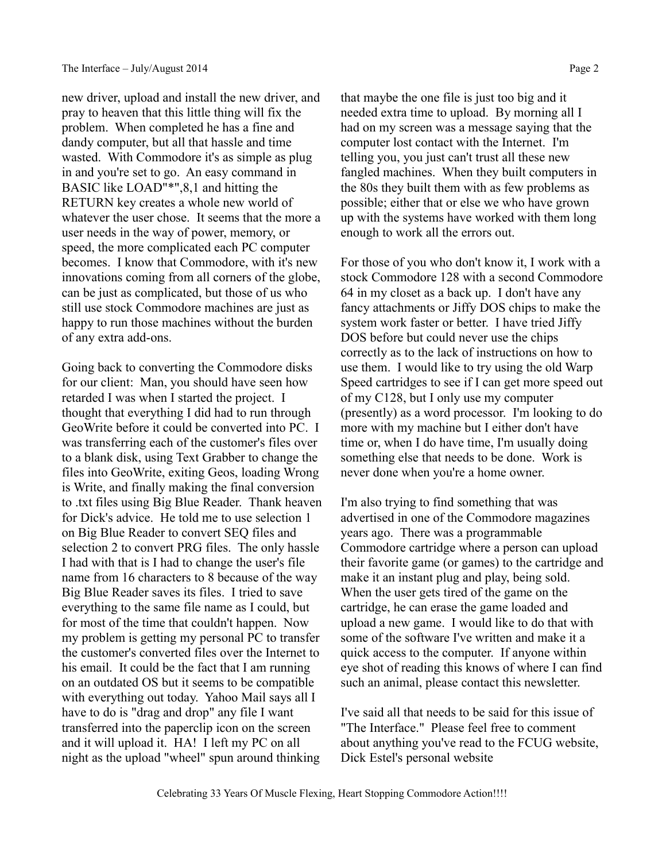new driver, upload and install the new driver, and pray to heaven that this little thing will fix the problem. When completed he has a fine and dandy computer, but all that hassle and time wasted. With Commodore it's as simple as plug in and you're set to go. An easy command in BASIC like LOAD"\*",8,1 and hitting the RETURN key creates a whole new world of whatever the user chose. It seems that the more a user needs in the way of power, memory, or speed, the more complicated each PC computer becomes. I know that Commodore, with it's new innovations coming from all corners of the globe, can be just as complicated, but those of us who still use stock Commodore machines are just as happy to run those machines without the burden of any extra add-ons.

Going back to converting the Commodore disks for our client: Man, you should have seen how retarded I was when I started the project. I thought that everything I did had to run through GeoWrite before it could be converted into PC. I was transferring each of the customer's files over to a blank disk, using Text Grabber to change the files into GeoWrite, exiting Geos, loading Wrong is Write, and finally making the final conversion to .txt files using Big Blue Reader. Thank heaven for Dick's advice. He told me to use selection 1 on Big Blue Reader to convert SEQ files and selection 2 to convert PRG files. The only hassle I had with that is I had to change the user's file name from 16 characters to 8 because of the way Big Blue Reader saves its files. I tried to save everything to the same file name as I could, but for most of the time that couldn't happen. Now my problem is getting my personal PC to transfer the customer's converted files over the Internet to his email. It could be the fact that I am running on an outdated OS but it seems to be compatible with everything out today. Yahoo Mail says all I have to do is "drag and drop" any file I want transferred into the paperclip icon on the screen and it will upload it. HA! I left my PC on all night as the upload "wheel" spun around thinking

that maybe the one file is just too big and it needed extra time to upload. By morning all I had on my screen was a message saying that the computer lost contact with the Internet. I'm telling you, you just can't trust all these new fangled machines. When they built computers in the 80s they built them with as few problems as possible; either that or else we who have grown up with the systems have worked with them long enough to work all the errors out.

For those of you who don't know it, I work with a stock Commodore 128 with a second Commodore 64 in my closet as a back up. I don't have any fancy attachments or Jiffy DOS chips to make the system work faster or better. I have tried Jiffy DOS before but could never use the chips correctly as to the lack of instructions on how to use them. I would like to try using the old Warp Speed cartridges to see if I can get more speed out of my C128, but I only use my computer (presently) as a word processor. I'm looking to do more with my machine but I either don't have time or, when I do have time, I'm usually doing something else that needs to be done. Work is never done when you're a home owner.

I'm also trying to find something that was advertised in one of the Commodore magazines years ago. There was a programmable Commodore cartridge where a person can upload their favorite game (or games) to the cartridge and make it an instant plug and play, being sold. When the user gets tired of the game on the cartridge, he can erase the game loaded and upload a new game. I would like to do that with some of the software I've written and make it a quick access to the computer. If anyone within eye shot of reading this knows of where I can find such an animal, please contact this newsletter.

I've said all that needs to be said for this issue of "The Interface." Please feel free to comment about anything you've read to the FCUG website, Dick Estel's personal website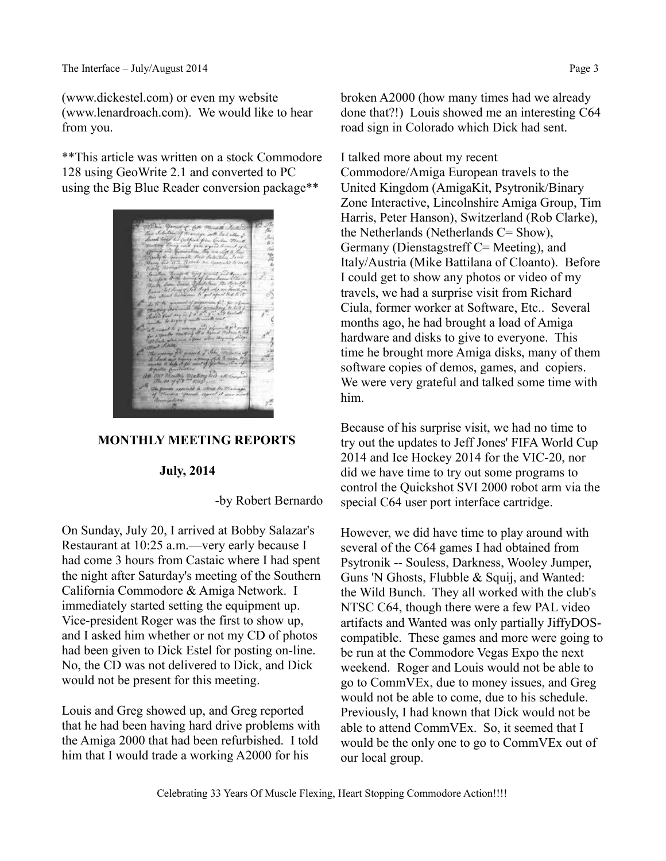(www.dickestel.com) or even my website (www.lenardroach.com). We would like to hear from you.

\*\*This article was written on a stock Commodore 128 using GeoWrite 2.1 and converted to PC using the Big Blue Reader conversion package\*\*



#### **MONTHLY MEETING REPORTS**

#### **July, 2014**

-by Robert Bernardo

On Sunday, July 20, I arrived at Bobby Salazar's Restaurant at 10:25 a.m.—very early because I had come 3 hours from Castaic where I had spent the night after Saturday's meeting of the Southern California Commodore & Amiga Network. I immediately started setting the equipment up. Vice-president Roger was the first to show up, and I asked him whether or not my CD of photos had been given to Dick Estel for posting on-line. No, the CD was not delivered to Dick, and Dick would not be present for this meeting.

Louis and Greg showed up, and Greg reported that he had been having hard drive problems with the Amiga 2000 that had been refurbished. I told him that I would trade a working A2000 for his

broken A2000 (how many times had we already done that?!) Louis showed me an interesting C64 road sign in Colorado which Dick had sent.

I talked more about my recent

Commodore/Amiga European travels to the United Kingdom (AmigaKit, Psytronik/Binary Zone Interactive, Lincolnshire Amiga Group, Tim Harris, Peter Hanson), Switzerland (Rob Clarke), the Netherlands (Netherlands C= Show), Germany (Dienstagstreff C= Meeting), and Italy/Austria (Mike Battilana of Cloanto). Before I could get to show any photos or video of my travels, we had a surprise visit from Richard Ciula, former worker at Software, Etc.. Several months ago, he had brought a load of Amiga hardware and disks to give to everyone. This time he brought more Amiga disks, many of them software copies of demos, games, and copiers. We were very grateful and talked some time with him.

Because of his surprise visit, we had no time to try out the updates to Jeff Jones' FIFA World Cup 2014 and Ice Hockey 2014 for the VIC-20, nor did we have time to try out some programs to control the Quickshot SVI 2000 robot arm via the special C64 user port interface cartridge.

However, we did have time to play around with several of the C64 games I had obtained from Psytronik -- Souless, Darkness, Wooley Jumper, Guns 'N Ghosts, Flubble & Squij, and Wanted: the Wild Bunch. They all worked with the club's NTSC C64, though there were a few PAL video artifacts and Wanted was only partially JiffyDOScompatible. These games and more were going to be run at the Commodore Vegas Expo the next weekend. Roger and Louis would not be able to go to CommVEx, due to money issues, and Greg would not be able to come, due to his schedule. Previously, I had known that Dick would not be able to attend CommVEx. So, it seemed that I would be the only one to go to CommVEx out of our local group.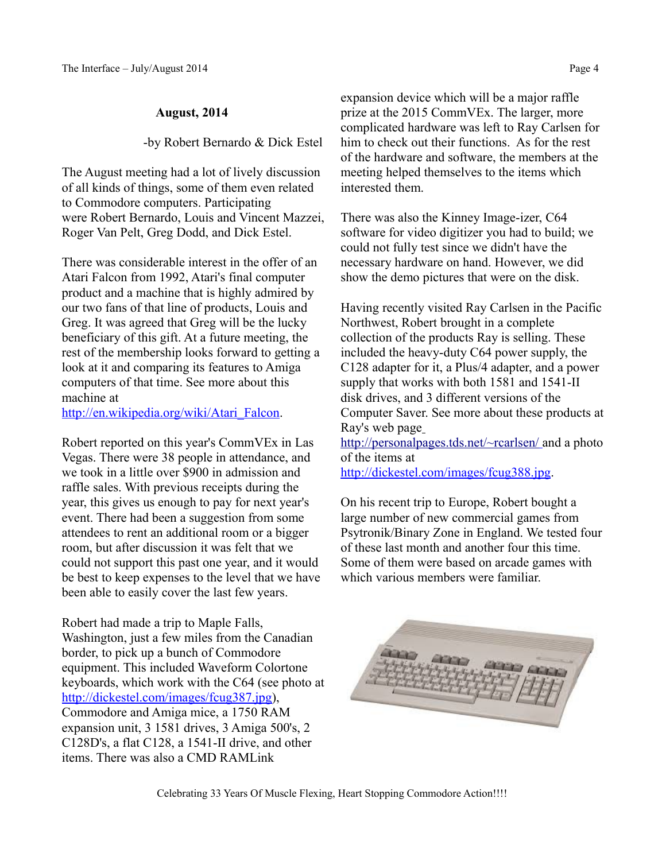#### **August, 2014**

-by Robert Bernardo & Dick Estel

The August meeting had a lot of lively discussion of all kinds of things, some of them even related to Commodore computers. Participating were Robert Bernardo, Louis and Vincent Mazzei, Roger Van Pelt, Greg Dodd, and Dick Estel.

There was considerable interest in the offer of an Atari Falcon from 1992, Atari's final computer product and a machine that is highly admired by our two fans of that line of products, Louis and Greg. It was agreed that Greg will be the lucky beneficiary of this gift. At a future meeting, the rest of the membership looks forward to getting a look at it and comparing its features to Amiga computers of that time. See more about this machine at

[http://en.wikipedia.org/wiki/Atari\\_Falcon.](http://en.wikipedia.org/wiki/Atari_Falcon)

Robert reported on this year's CommVEx in Las Vegas. There were 38 people in attendance, and we took in a little over \$900 in admission and raffle sales. With previous receipts during the year, this gives us enough to pay for next year's event. There had been a suggestion from some attendees to rent an additional room or a bigger room, but after discussion it was felt that we could not support this past one year, and it would be best to keep expenses to the level that we have been able to easily cover the last few years.

Robert had made a trip to Maple Falls, Washington, just a few miles from the Canadian border, to pick up a bunch of Commodore equipment. This included Waveform Colortone keyboards, which work with the C64 (see photo at [http://dickestel.com/images/fcug387.jpg\)](http://dickestel.com/images/fcug387.jpg), Commodore and Amiga mice, a 1750 RAM expansion unit, 3 1581 drives, 3 Amiga 500's, 2 C128D's, a flat C128, a 1541-II drive, and other items. There was also a CMD RAMLink

expansion device which will be a major raffle prize at the 2015 CommVEx. The larger, more complicated hardware was left to Ray Carlsen for him to check out their functions. As for the rest of the hardware and software, the members at the meeting helped themselves to the items which interested them.

There was also the Kinney Image-izer, C64 software for video digitizer you had to build; we could not fully test since we didn't have the necessary hardware on hand. However, we did show the demo pictures that were on the disk.

Having recently visited Ray Carlsen in the Pacific Northwest, Robert brought in a complete collection of the products Ray is selling. These included the heavy-duty C64 power supply, the C128 adapter for it, a Plus/4 adapter, and a power supply that works with both 1581 and 1541-II disk drives, and 3 different versions of the Computer Saver. See more about these products at Ray's web page

<http://personalpages.tds.net/~rcarlsen/> and a photo of the items at

[http://dickestel.com/images/fcug388.jpg.](http://dickestel.com/images/fcug388.jpg)

On his recent trip to Europe, Robert bought a large number of new commercial games from Psytronik/Binary Zone in England. We tested four of these last month and another four this time. Some of them were based on arcade games with which various members were familiar.



Celebrating 33 Years Of Muscle Flexing, Heart Stopping Commodore Action!!!!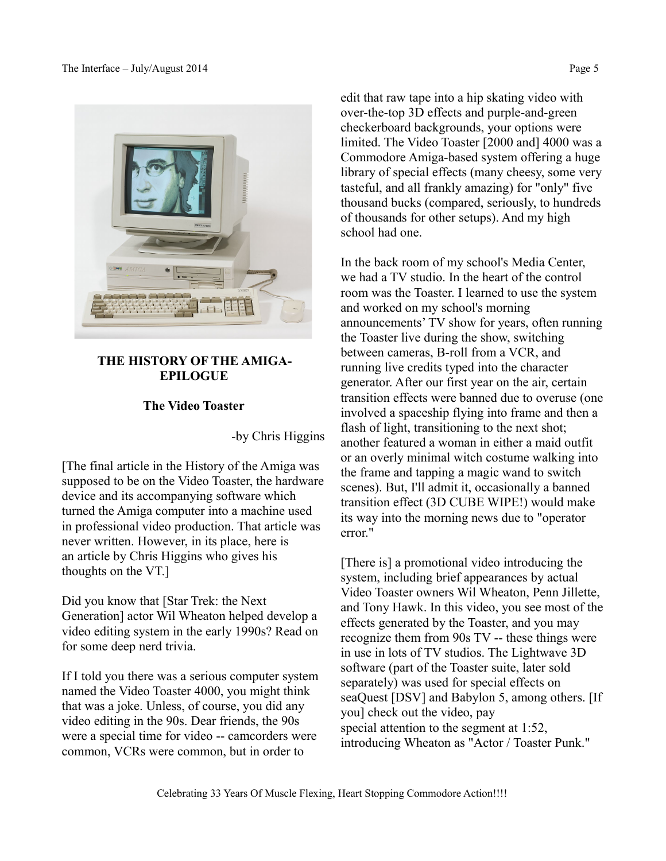



### **THE HISTORY OF THE AMIGA- EPILOGUE**

### **The Video Toaster**

-by Chris Higgins

[The final article in the History of the Amiga was supposed to be on the Video Toaster, the hardware device and its accompanying software which turned the Amiga computer into a machine used in professional video production. That article was never written. However, in its place, here is an article by Chris Higgins who gives his thoughts on the VT.]

Did you know that [Star Trek: the Next Generation] actor Wil Wheaton helped develop a video editing system in the early 1990s? Read on for some deep nerd trivia.

If I told you there was a serious computer system named the Video Toaster 4000, you might think that was a joke. Unless, of course, you did any video editing in the 90s. Dear friends, the 90s were a special time for video -- camcorders were common, VCRs were common, but in order to

edit that raw tape into a hip skating video with over-the-top 3D effects and purple-and-green checkerboard backgrounds, your options were limited. The Video Toaster [2000 and] 4000 was a Commodore Amiga-based system offering a huge library of special effects (many cheesy, some very tasteful, and all frankly amazing) for "only" five thousand bucks (compared, seriously, to hundreds of thousands for other setups). And my high school had one.

In the back room of my school's Media Center, we had a TV studio. In the heart of the control room was the Toaster. I learned to use the system and worked on my school's morning announcements' TV show for years, often running the Toaster live during the show, switching between cameras, B-roll from a VCR, and running live credits typed into the character generator. After our first year on the air, certain transition effects were banned due to overuse (one involved a spaceship flying into frame and then a flash of light, transitioning to the next shot; another featured a woman in either a maid outfit or an overly minimal witch costume walking into the frame and tapping a magic wand to switch scenes). But, I'll admit it, occasionally a banned transition effect (3D CUBE WIPE!) would make its way into the morning news due to "operator error."

[There is] a promotional video introducing the system, including brief appearances by actual Video Toaster owners Wil Wheaton, Penn Jillette, and Tony Hawk. In this video, you see most of the effects generated by the Toaster, and you may recognize them from 90s TV -- these things were in use in lots of TV studios. The Lightwave 3D software (part of the Toaster suite, later sold separately) was used for special effects on seaQuest [DSV] and Babylon 5, among others. [If you] check out the video, pay special attention to the segment at 1:52, introducing Wheaton as "Actor / Toaster Punk."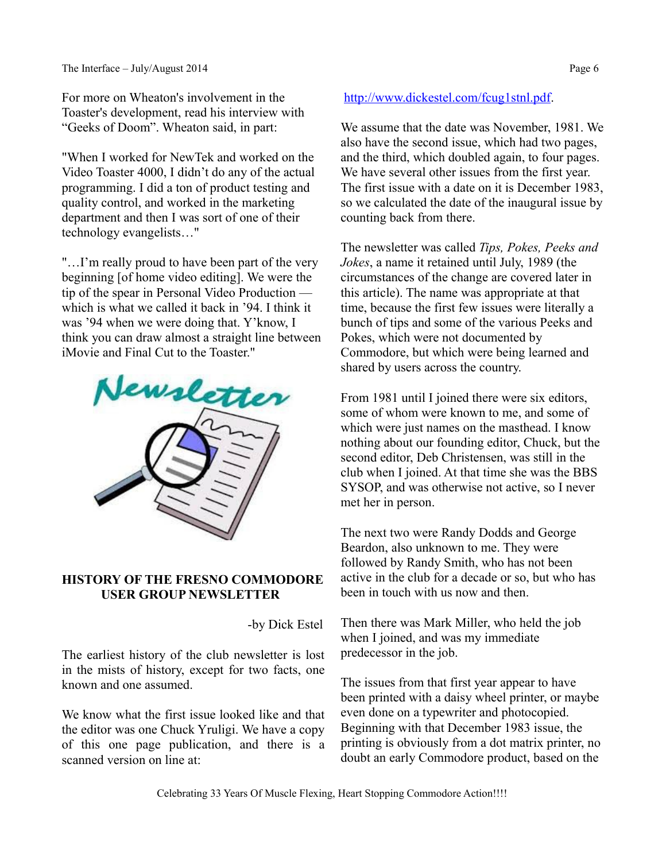For more on Wheaton's involvement in the Toaster's development, read his interview with "Geeks of Doom". Wheaton said, in part:

"When I worked for NewTek and worked on the Video Toaster 4000, I didn't do any of the actual programming. I did a ton of product testing and quality control, and worked in the marketing department and then I was sort of one of their technology evangelists…"

"…I'm really proud to have been part of the very beginning [of home video editing]. We were the tip of the spear in Personal Video Production which is what we called it back in '94. I think it was '94 when we were doing that. Y'know, I think you can draw almost a straight line between iMovie and Final Cut to the Toaster."



### **HISTORY OF THE FRESNO COMMODORE USER GROUP NEWSLETTER**

-by Dick Estel

The earliest history of the club newsletter is lost in the mists of history, except for two facts, one known and one assumed.

We know what the first issue looked like and that the editor was one Chuck Yruligi. We have a copy of this one page publication, and there is a scanned version on line at:

### [http://www.dickestel.com/fcug1stnl.pdf.](http://www.dickestel.com/fcug1stnl.pdf)

We assume that the date was November, 1981. We also have the second issue, which had two pages, and the third, which doubled again, to four pages. We have several other issues from the first year. The first issue with a date on it is December 1983, so we calculated the date of the inaugural issue by counting back from there.

The newsletter was called *Tips, Pokes, Peeks and Jokes*, a name it retained until July, 1989 (the circumstances of the change are covered later in this article). The name was appropriate at that time, because the first few issues were literally a bunch of tips and some of the various Peeks and Pokes, which were not documented by Commodore, but which were being learned and shared by users across the country.

From 1981 until I joined there were six editors, some of whom were known to me, and some of which were just names on the masthead. I know nothing about our founding editor, Chuck, but the second editor, Deb Christensen, was still in the club when I joined. At that time she was the BBS SYSOP, and was otherwise not active, so I never met her in person.

The next two were Randy Dodds and George Beardon, also unknown to me. They were followed by Randy Smith, who has not been active in the club for a decade or so, but who has been in touch with us now and then.

Then there was Mark Miller, who held the job when I joined, and was my immediate predecessor in the job.

The issues from that first year appear to have been printed with a daisy wheel printer, or maybe even done on a typewriter and photocopied. Beginning with that December 1983 issue, the printing is obviously from a dot matrix printer, no doubt an early Commodore product, based on the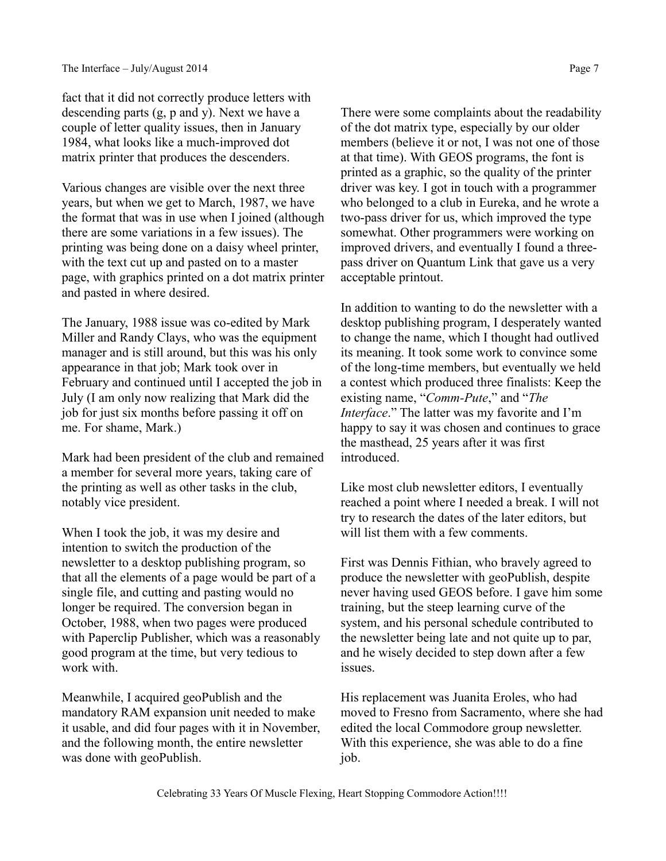fact that it did not correctly produce letters with descending parts (g, p and y). Next we have a couple of letter quality issues, then in January 1984, what looks like a much-improved dot matrix printer that produces the descenders.

Various changes are visible over the next three years, but when we get to March, 1987, we have the format that was in use when I joined (although there are some variations in a few issues). The printing was being done on a daisy wheel printer, with the text cut up and pasted on to a master page, with graphics printed on a dot matrix printer and pasted in where desired.

The January, 1988 issue was co-edited by Mark Miller and Randy Clays, who was the equipment manager and is still around, but this was his only appearance in that job; Mark took over in February and continued until I accepted the job in July (I am only now realizing that Mark did the job for just six months before passing it off on me. For shame, Mark.)

Mark had been president of the club and remained a member for several more years, taking care of the printing as well as other tasks in the club, notably vice president.

When I took the job, it was my desire and intention to switch the production of the newsletter to a desktop publishing program, so that all the elements of a page would be part of a single file, and cutting and pasting would no longer be required. The conversion began in October, 1988, when two pages were produced with Paperclip Publisher, which was a reasonably good program at the time, but very tedious to work with.

Meanwhile, I acquired geoPublish and the mandatory RAM expansion unit needed to make it usable, and did four pages with it in November, and the following month, the entire newsletter was done with geoPublish.

There were some complaints about the readability of the dot matrix type, especially by our older members (believe it or not, I was not one of those at that time). With GEOS programs, the font is printed as a graphic, so the quality of the printer driver was key. I got in touch with a programmer who belonged to a club in Eureka, and he wrote a two-pass driver for us, which improved the type somewhat. Other programmers were working on improved drivers, and eventually I found a threepass driver on Quantum Link that gave us a very acceptable printout.

In addition to wanting to do the newsletter with a desktop publishing program, I desperately wanted to change the name, which I thought had outlived its meaning. It took some work to convince some of the long-time members, but eventually we held a contest which produced three finalists: Keep the existing name, "*Comm-Pute*," and "*The Interface*." The latter was my favorite and I'm happy to say it was chosen and continues to grace the masthead, 25 years after it was first introduced.

Like most club newsletter editors, I eventually reached a point where I needed a break. I will not try to research the dates of the later editors, but will list them with a few comments.

First was Dennis Fithian, who bravely agreed to produce the newsletter with geoPublish, despite never having used GEOS before. I gave him some training, but the steep learning curve of the system, and his personal schedule contributed to the newsletter being late and not quite up to par, and he wisely decided to step down after a few issues.

His replacement was Juanita Eroles, who had moved to Fresno from Sacramento, where she had edited the local Commodore group newsletter. With this experience, she was able to do a fine job.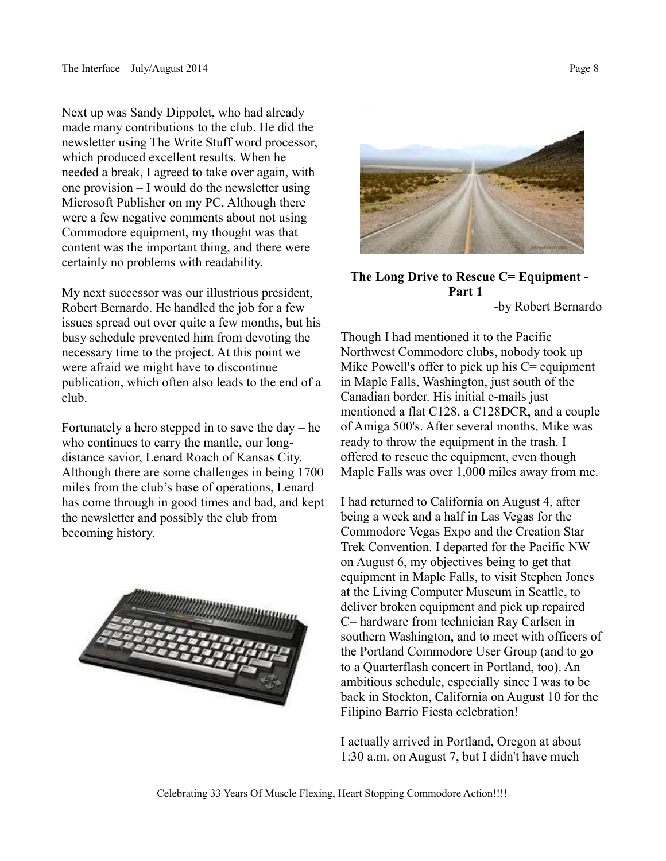Next up was Sandy Dippolet, who had already made many contributions to the club. He did the newsletter using The Write Stuff word processor, which produced excellent results. When he needed a break, I agreed to take over again, with one provision – I would do the newsletter using Microsoft Publisher on my PC. Although there were a few negative comments about not using Commodore equipment, my thought was that content was the important thing, and there were certainly no problems with readability.

My next successor was our illustrious president, Robert Bernardo. He handled the job for a few issues spread out over quite a few months, but his busy schedule prevented him from devoting the necessary time to the project. At this point we were afraid we might have to discontinue publication, which often also leads to the end of a club.

Fortunately a hero stepped in to save the day  $-$  he who continues to carry the mantle, our longdistance savior, Lenard Roach of Kansas City. Although there are some challenges in being 1700 miles from the club's base of operations, Lenard has come through in good times and bad, and kept the newsletter and possibly the club from becoming history.





### **The Long Drive to Rescue C= Equipment - Part 1**

-by Robert Bernardo

Though I had mentioned it to the Pacific Northwest Commodore clubs, nobody took up Mike Powell's offer to pick up his  $C =$  equipment in Maple Falls, Washington, just south of the Canadian border. His initial e-mails just mentioned a flat C128, a C128DCR, and a couple of Amiga 500's. After several months, Mike was ready to throw the equipment in the trash. I offered to rescue the equipment, even though Maple Falls was over 1,000 miles away from me.

I had returned to California on August 4, after being a week and a half in Las Vegas for the Commodore Vegas Expo and the Creation Star Trek Convention. I departed for the Pacific NW on August 6, my objectives being to get that equipment in Maple Falls, to visit Stephen Jones at the Living Computer Museum in Seattle, to deliver broken equipment and pick up repaired C= hardware from technician Ray Carlsen in southern Washington, and to meet with officers of the Portland Commodore User Group (and to go to a Quarterflash concert in Portland, too). An ambitious schedule, especially since I was to be back in Stockton, California on August 10 for the Filipino Barrio Fiesta celebration!

I actually arrived in Portland, Oregon at about 1:30 a.m. on August 7, but I didn't have much